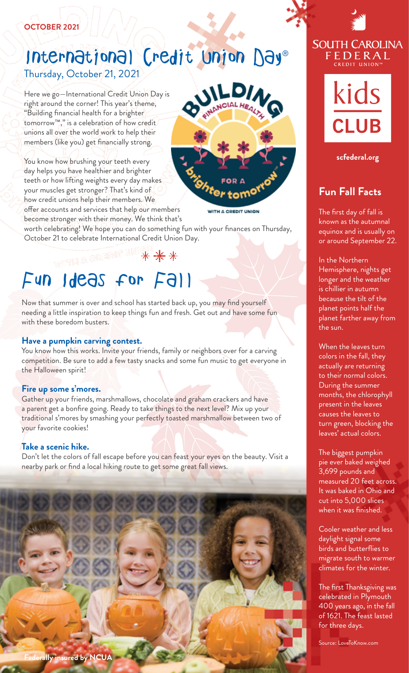#### **OCTOBER 2021**

#### Thursday, October 21, 2021 International Credit Union Day®

Here we go—International Credit Union Day is right around the corner! This year's theme, "Building fnancial health for a brighter tomorrow™," is a celebration of how credit unions all over the world work to help their members (like you) get fnancially strong.

You know how brushing your teeth every day helps you have healthier and brighter teeth or how lifting weights every day makes your muscles get stronger? That's kind of how credit unions help their members. We offer accounts and services that help our members become stronger with their money. We think that's



**A CREDIT UNION** 

worth celebrating! We hope you can do something fun with your fnances on Thursday, October 21 to celebrate International Credit Union Day. **October 21 to celebrate International Credit Union Day.** Conservation or around September 22.

### \*\*\*

# FUN Ideas for Fall longer and the Worthern Hemisphere, nights get

planet farther away from with these boredom busters. Now that summer is over and school has started back up, you may fnd yourself needing a little inspiration to keep things fun and fresh. Get out and have some fun

**Have a pumpkin carving contest.**<br>You know how this works. Invite your friends, family or neighbors over for a carving **when the leaves turn** the Halloween spirit! competition. Be sure to add a few tasty snacks and some fun music to get everyone in

#### **Fire up some s'mores.**

your favorite cookies! Gather up your friends, marshmallows, chocolate and graham crackers and have a parent get a bonfire going. Ready to take things to the next level? Mix up your traditional s'mores by smashing your perfectly toasted marshmallow between two of

#### **Take a scenic hike.**

Don't let the colors of fall escape before you can feast your eyes on the beauty. Visit a nearby park or fnd a local hiking route to get some great fall views.







**[scfederal.org](https://scfederal.org)** 

#### **Fun Fall Facts**

equinox and is usually on The frst day of fall is known as the autumnal

In the Northern is chillier in autumn because the tilt of the planet points half the the sun.

colors in the fall, they actually are returning to their normal colors. During the summer months, the chlorophyll present in the leaves causes the leaves to turn green, blocking the leaves' actual colors.

The biggest pumpkin pie ever baked weighed 3,699 pounds and measured 20 feet across. It was baked in Ohio and cut into 5,000 slices when it was fnished.

Cooler weather and less daylight signal some birds and butterfies to migrate south to warmer climates for the winter.

The frst Thanksgiving was celebrated in Plymouth 400 years ago, in the fall of 1621. The feast lasted for three days.